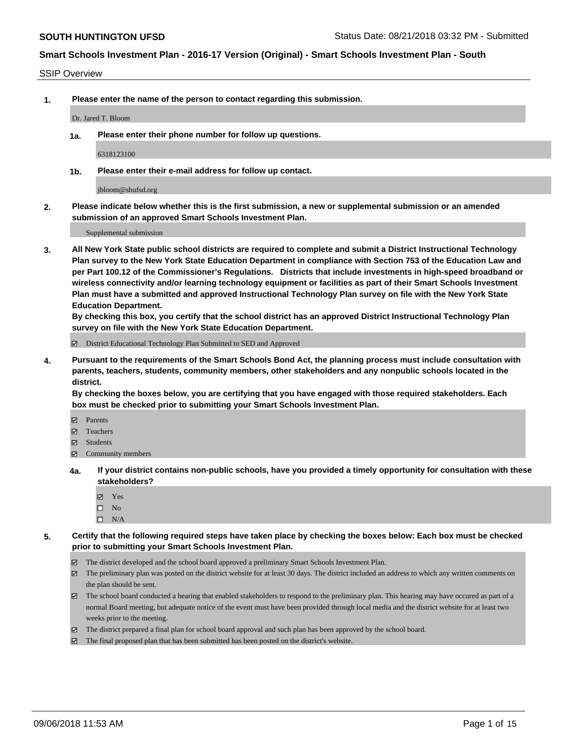#### SSIP Overview

**1. Please enter the name of the person to contact regarding this submission.**

#### Dr. Jared T. Bloom

**1a. Please enter their phone number for follow up questions.**

6318123100

**1b. Please enter their e-mail address for follow up contact.**

jbloom@shufsd.org

**2. Please indicate below whether this is the first submission, a new or supplemental submission or an amended submission of an approved Smart Schools Investment Plan.**

Supplemental submission

**3. All New York State public school districts are required to complete and submit a District Instructional Technology Plan survey to the New York State Education Department in compliance with Section 753 of the Education Law and per Part 100.12 of the Commissioner's Regulations. Districts that include investments in high-speed broadband or wireless connectivity and/or learning technology equipment or facilities as part of their Smart Schools Investment Plan must have a submitted and approved Instructional Technology Plan survey on file with the New York State Education Department.** 

**By checking this box, you certify that the school district has an approved District Instructional Technology Plan survey on file with the New York State Education Department.**

District Educational Technology Plan Submitted to SED and Approved

**4. Pursuant to the requirements of the Smart Schools Bond Act, the planning process must include consultation with parents, teachers, students, community members, other stakeholders and any nonpublic schools located in the district.** 

**By checking the boxes below, you are certifying that you have engaged with those required stakeholders. Each box must be checked prior to submitting your Smart Schools Investment Plan.**

- **Parents**
- Teachers
- **☑** Students
- **☑** Community members
- **4a. If your district contains non-public schools, have you provided a timely opportunity for consultation with these stakeholders?**
	- **Ø** Yes
	- $\square$  No
	- $\square$  N/A
- **5. Certify that the following required steps have taken place by checking the boxes below: Each box must be checked prior to submitting your Smart Schools Investment Plan.**
	- The district developed and the school board approved a preliminary Smart Schools Investment Plan.
	- $\boxtimes$  The preliminary plan was posted on the district website for at least 30 days. The district included an address to which any written comments on the plan should be sent.
	- The school board conducted a hearing that enabled stakeholders to respond to the preliminary plan. This hearing may have occured as part of a normal Board meeting, but adequate notice of the event must have been provided through local media and the district website for at least two weeks prior to the meeting.
	- The district prepared a final plan for school board approval and such plan has been approved by the school board.
	- The final proposed plan that has been submitted has been posted on the district's website.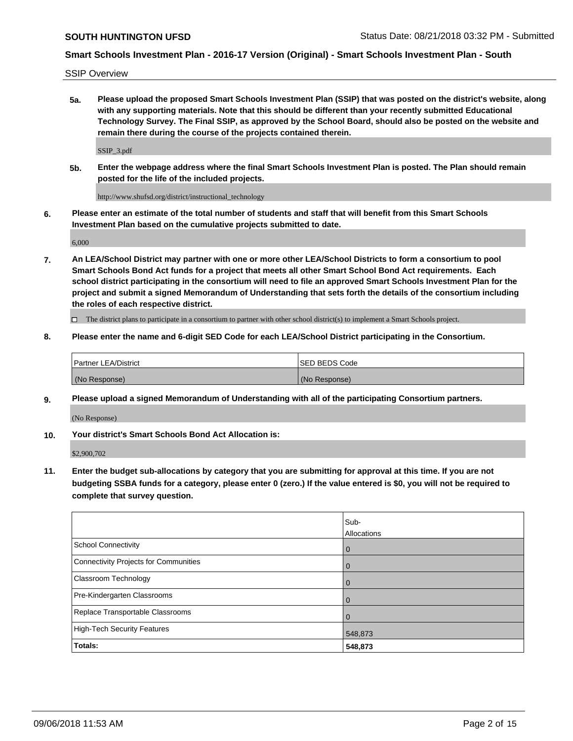SSIP Overview

**5a. Please upload the proposed Smart Schools Investment Plan (SSIP) that was posted on the district's website, along with any supporting materials. Note that this should be different than your recently submitted Educational Technology Survey. The Final SSIP, as approved by the School Board, should also be posted on the website and remain there during the course of the projects contained therein.**

SSIP\_3.pdf

**5b. Enter the webpage address where the final Smart Schools Investment Plan is posted. The Plan should remain posted for the life of the included projects.**

http://www.shufsd.org/district/instructional\_technology

**6. Please enter an estimate of the total number of students and staff that will benefit from this Smart Schools Investment Plan based on the cumulative projects submitted to date.**

6,000

**7. An LEA/School District may partner with one or more other LEA/School Districts to form a consortium to pool Smart Schools Bond Act funds for a project that meets all other Smart School Bond Act requirements. Each school district participating in the consortium will need to file an approved Smart Schools Investment Plan for the project and submit a signed Memorandum of Understanding that sets forth the details of the consortium including the roles of each respective district.**

 $\Box$  The district plans to participate in a consortium to partner with other school district(s) to implement a Smart Schools project.

### **8. Please enter the name and 6-digit SED Code for each LEA/School District participating in the Consortium.**

| Partner LEA/District | <b>ISED BEDS Code</b> |
|----------------------|-----------------------|
| (No Response)        | (No Response)         |

#### **9. Please upload a signed Memorandum of Understanding with all of the participating Consortium partners.**

(No Response)

**10. Your district's Smart Schools Bond Act Allocation is:**

\$2,900,702

**11. Enter the budget sub-allocations by category that you are submitting for approval at this time. If you are not budgeting SSBA funds for a category, please enter 0 (zero.) If the value entered is \$0, you will not be required to complete that survey question.**

|                                       | Sub-<br>Allocations |
|---------------------------------------|---------------------|
| <b>School Connectivity</b>            | $\mathbf 0$         |
| Connectivity Projects for Communities | $\overline{0}$      |
| <b>Classroom Technology</b>           | 0                   |
| Pre-Kindergarten Classrooms           | 0                   |
| Replace Transportable Classrooms      | $\Omega$            |
| High-Tech Security Features           | 548,873             |
| Totals:                               | 548,873             |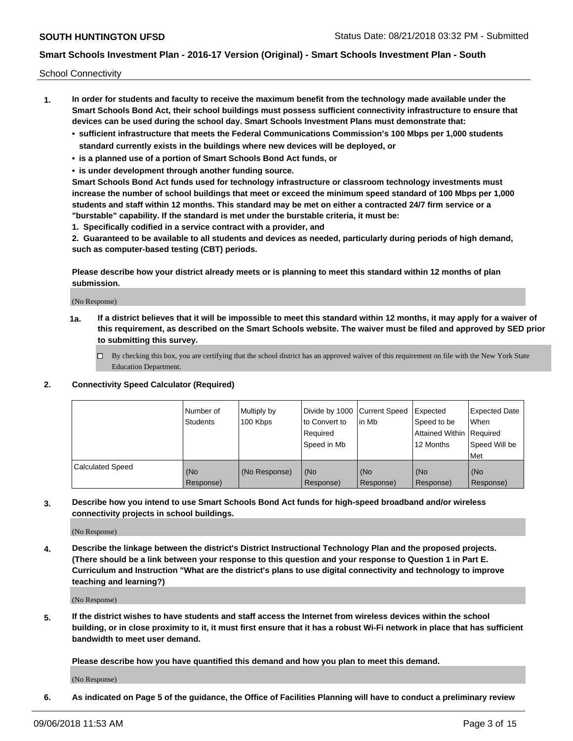School Connectivity

- **1. In order for students and faculty to receive the maximum benefit from the technology made available under the Smart Schools Bond Act, their school buildings must possess sufficient connectivity infrastructure to ensure that devices can be used during the school day. Smart Schools Investment Plans must demonstrate that:**
	- **• sufficient infrastructure that meets the Federal Communications Commission's 100 Mbps per 1,000 students standard currently exists in the buildings where new devices will be deployed, or**
	- **• is a planned use of a portion of Smart Schools Bond Act funds, or**
	- **• is under development through another funding source.**

**Smart Schools Bond Act funds used for technology infrastructure or classroom technology investments must increase the number of school buildings that meet or exceed the minimum speed standard of 100 Mbps per 1,000 students and staff within 12 months. This standard may be met on either a contracted 24/7 firm service or a "burstable" capability. If the standard is met under the burstable criteria, it must be:**

**1. Specifically codified in a service contract with a provider, and**

**2. Guaranteed to be available to all students and devices as needed, particularly during periods of high demand, such as computer-based testing (CBT) periods.**

**Please describe how your district already meets or is planning to meet this standard within 12 months of plan submission.**

(No Response)

**1a. If a district believes that it will be impossible to meet this standard within 12 months, it may apply for a waiver of this requirement, as described on the Smart Schools website. The waiver must be filed and approved by SED prior to submitting this survey.**

 $\Box$  By checking this box, you are certifying that the school district has an approved waiver of this requirement on file with the New York State Education Department.

#### **2. Connectivity Speed Calculator (Required)**

|                         | l Number of<br><b>Students</b> | Multiply by<br>100 Kbps | Divide by 1000 Current Speed<br>to Convert to<br>Required<br>l Speed in Mb | lin Mb           | Expected<br>Speed to be<br>Attained Within   Required<br>12 Months | <b>Expected Date</b><br>When<br>Speed Will be<br>Met |
|-------------------------|--------------------------------|-------------------------|----------------------------------------------------------------------------|------------------|--------------------------------------------------------------------|------------------------------------------------------|
| <b>Calculated Speed</b> | (No<br>Response)               | (No Response)           | (No<br>Response)                                                           | (No<br>Response) | (No<br>Response)                                                   | (No<br>Response)                                     |

**3. Describe how you intend to use Smart Schools Bond Act funds for high-speed broadband and/or wireless connectivity projects in school buildings.**

(No Response)

**4. Describe the linkage between the district's District Instructional Technology Plan and the proposed projects. (There should be a link between your response to this question and your response to Question 1 in Part E. Curriculum and Instruction "What are the district's plans to use digital connectivity and technology to improve teaching and learning?)**

(No Response)

**5. If the district wishes to have students and staff access the Internet from wireless devices within the school building, or in close proximity to it, it must first ensure that it has a robust Wi-Fi network in place that has sufficient bandwidth to meet user demand.**

**Please describe how you have quantified this demand and how you plan to meet this demand.**

(No Response)

**6. As indicated on Page 5 of the guidance, the Office of Facilities Planning will have to conduct a preliminary review**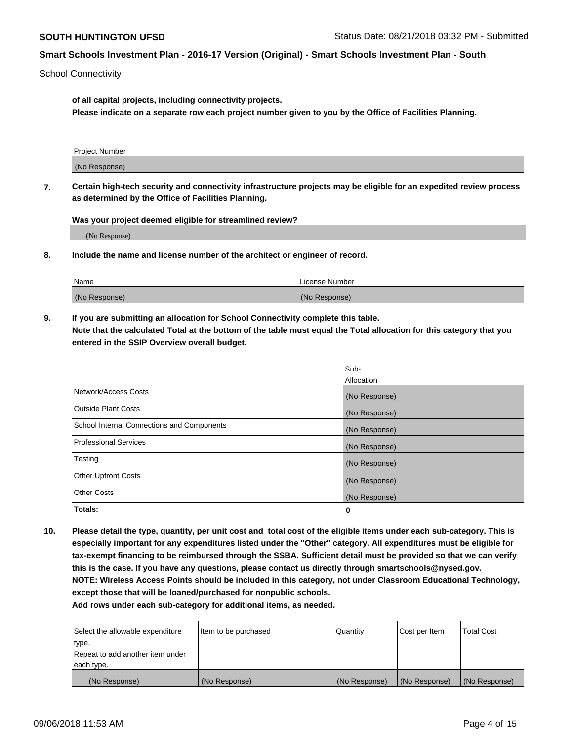School Connectivity

**of all capital projects, including connectivity projects.**

**Please indicate on a separate row each project number given to you by the Office of Facilities Planning.**

| Project Number |  |
|----------------|--|
|                |  |
| (No Response)  |  |
|                |  |

**7. Certain high-tech security and connectivity infrastructure projects may be eligible for an expedited review process as determined by the Office of Facilities Planning.**

**Was your project deemed eligible for streamlined review?**

(No Response)

**8. Include the name and license number of the architect or engineer of record.**

| Name          | License Number |
|---------------|----------------|
| (No Response) | (No Response)  |

**9. If you are submitting an allocation for School Connectivity complete this table. Note that the calculated Total at the bottom of the table must equal the Total allocation for this category that you entered in the SSIP Overview overall budget.** 

|                                            | Sub-          |
|--------------------------------------------|---------------|
|                                            | Allocation    |
| Network/Access Costs                       | (No Response) |
| Outside Plant Costs                        | (No Response) |
| School Internal Connections and Components | (No Response) |
| <b>Professional Services</b>               | (No Response) |
| Testing                                    | (No Response) |
| <b>Other Upfront Costs</b>                 | (No Response) |
| <b>Other Costs</b>                         | (No Response) |
| Totals:                                    | 0             |

**10. Please detail the type, quantity, per unit cost and total cost of the eligible items under each sub-category. This is especially important for any expenditures listed under the "Other" category. All expenditures must be eligible for tax-exempt financing to be reimbursed through the SSBA. Sufficient detail must be provided so that we can verify this is the case. If you have any questions, please contact us directly through smartschools@nysed.gov. NOTE: Wireless Access Points should be included in this category, not under Classroom Educational Technology, except those that will be loaned/purchased for nonpublic schools.**

| Select the allowable expenditure | Item to be purchased | Quantity      | <b>Cost per Item</b> | <b>Total Cost</b> |
|----------------------------------|----------------------|---------------|----------------------|-------------------|
| type.                            |                      |               |                      |                   |
| Repeat to add another item under |                      |               |                      |                   |
| each type.                       |                      |               |                      |                   |
| (No Response)                    | (No Response)        | (No Response) | (No Response)        | (No Response)     |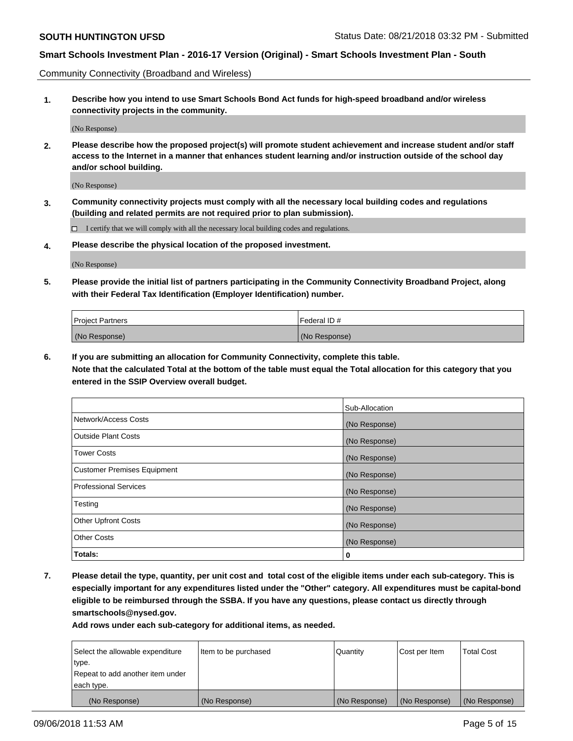Community Connectivity (Broadband and Wireless)

**1. Describe how you intend to use Smart Schools Bond Act funds for high-speed broadband and/or wireless connectivity projects in the community.**

(No Response)

**2. Please describe how the proposed project(s) will promote student achievement and increase student and/or staff access to the Internet in a manner that enhances student learning and/or instruction outside of the school day and/or school building.**

(No Response)

**3. Community connectivity projects must comply with all the necessary local building codes and regulations (building and related permits are not required prior to plan submission).**

 $\Box$  I certify that we will comply with all the necessary local building codes and regulations.

**4. Please describe the physical location of the proposed investment.**

(No Response)

**5. Please provide the initial list of partners participating in the Community Connectivity Broadband Project, along with their Federal Tax Identification (Employer Identification) number.**

| <b>Project Partners</b> | <sup>I</sup> Federal ID # |
|-------------------------|---------------------------|
| (No Response)           | (No Response)             |

**6. If you are submitting an allocation for Community Connectivity, complete this table.**

**Note that the calculated Total at the bottom of the table must equal the Total allocation for this category that you entered in the SSIP Overview overall budget.**

|                                    | Sub-Allocation |
|------------------------------------|----------------|
| Network/Access Costs               | (No Response)  |
| <b>Outside Plant Costs</b>         | (No Response)  |
| <b>Tower Costs</b>                 | (No Response)  |
| <b>Customer Premises Equipment</b> | (No Response)  |
| <b>Professional Services</b>       | (No Response)  |
| Testing                            | (No Response)  |
| <b>Other Upfront Costs</b>         | (No Response)  |
| <b>Other Costs</b>                 | (No Response)  |
| Totals:                            | 0              |

**7. Please detail the type, quantity, per unit cost and total cost of the eligible items under each sub-category. This is especially important for any expenditures listed under the "Other" category. All expenditures must be capital-bond eligible to be reimbursed through the SSBA. If you have any questions, please contact us directly through smartschools@nysed.gov.**

| Select the allowable expenditure | Item to be purchased | Quantity      | Cost per Item | <b>Total Cost</b> |
|----------------------------------|----------------------|---------------|---------------|-------------------|
| type.                            |                      |               |               |                   |
| Repeat to add another item under |                      |               |               |                   |
| each type.                       |                      |               |               |                   |
| (No Response)                    | (No Response)        | (No Response) | (No Response) | (No Response)     |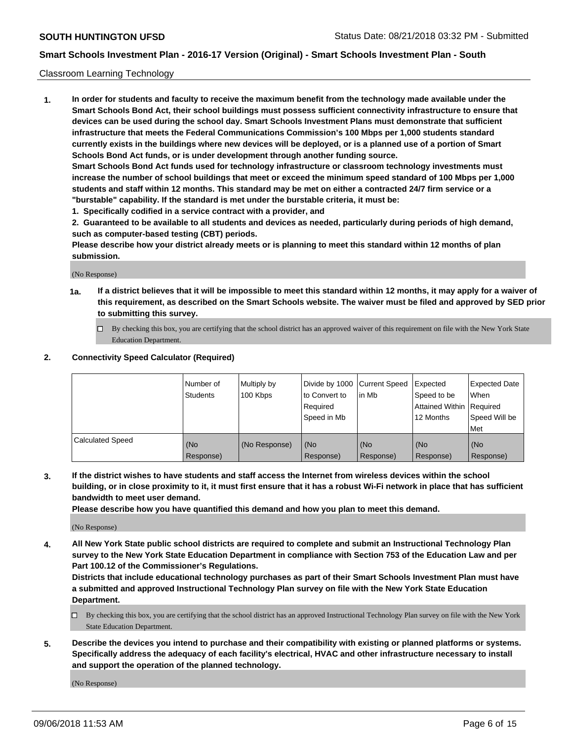#### Classroom Learning Technology

**1. In order for students and faculty to receive the maximum benefit from the technology made available under the Smart Schools Bond Act, their school buildings must possess sufficient connectivity infrastructure to ensure that devices can be used during the school day. Smart Schools Investment Plans must demonstrate that sufficient infrastructure that meets the Federal Communications Commission's 100 Mbps per 1,000 students standard currently exists in the buildings where new devices will be deployed, or is a planned use of a portion of Smart Schools Bond Act funds, or is under development through another funding source. Smart Schools Bond Act funds used for technology infrastructure or classroom technology investments must increase the number of school buildings that meet or exceed the minimum speed standard of 100 Mbps per 1,000 students and staff within 12 months. This standard may be met on either a contracted 24/7 firm service or a**

**"burstable" capability. If the standard is met under the burstable criteria, it must be:**

**1. Specifically codified in a service contract with a provider, and**

**2. Guaranteed to be available to all students and devices as needed, particularly during periods of high demand, such as computer-based testing (CBT) periods.**

**Please describe how your district already meets or is planning to meet this standard within 12 months of plan submission.**

(No Response)

- **1a. If a district believes that it will be impossible to meet this standard within 12 months, it may apply for a waiver of this requirement, as described on the Smart Schools website. The waiver must be filed and approved by SED prior to submitting this survey.**
	- By checking this box, you are certifying that the school district has an approved waiver of this requirement on file with the New York State Education Department.

#### **2. Connectivity Speed Calculator (Required)**

|                         | I Number of<br>Students | Multiply by<br>100 Kbps | to Convert to<br>Required<br>Speed in Mb | Divide by 1000 Current Speed Expected<br>lin Mb | Speed to be<br>Attained Within Required<br>12 Months | Expected Date<br>When<br>Speed Will be<br>Met |
|-------------------------|-------------------------|-------------------------|------------------------------------------|-------------------------------------------------|------------------------------------------------------|-----------------------------------------------|
| <b>Calculated Speed</b> | (No<br>Response)        | (No Response)           | (No<br>Response)                         | (No<br>Response)                                | (No<br>Response)                                     | (No<br>Response)                              |

**3. If the district wishes to have students and staff access the Internet from wireless devices within the school building, or in close proximity to it, it must first ensure that it has a robust Wi-Fi network in place that has sufficient bandwidth to meet user demand.**

**Please describe how you have quantified this demand and how you plan to meet this demand.**

(No Response)

**4. All New York State public school districts are required to complete and submit an Instructional Technology Plan survey to the New York State Education Department in compliance with Section 753 of the Education Law and per Part 100.12 of the Commissioner's Regulations.**

**Districts that include educational technology purchases as part of their Smart Schools Investment Plan must have a submitted and approved Instructional Technology Plan survey on file with the New York State Education Department.**

- $\Box$  By checking this box, you are certifying that the school district has an approved Instructional Technology Plan survey on file with the New York State Education Department.
- **5. Describe the devices you intend to purchase and their compatibility with existing or planned platforms or systems. Specifically address the adequacy of each facility's electrical, HVAC and other infrastructure necessary to install and support the operation of the planned technology.**

(No Response)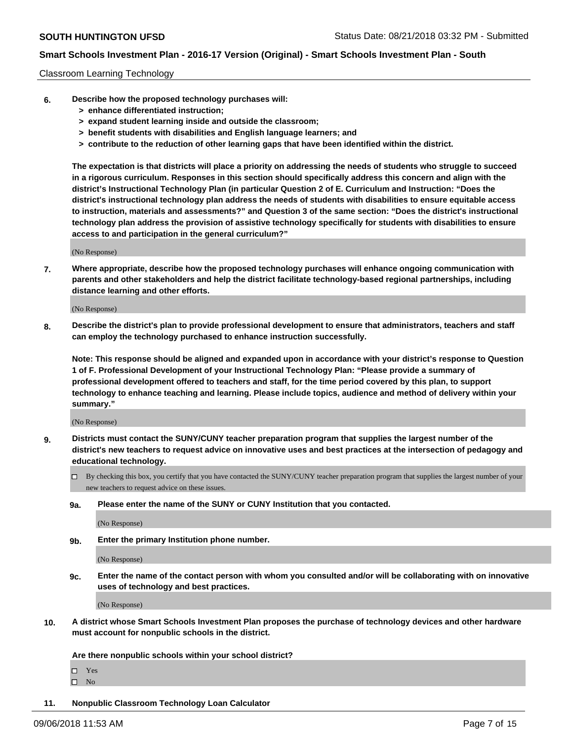#### Classroom Learning Technology

- **6. Describe how the proposed technology purchases will:**
	- **> enhance differentiated instruction;**
	- **> expand student learning inside and outside the classroom;**
	- **> benefit students with disabilities and English language learners; and**
	- **> contribute to the reduction of other learning gaps that have been identified within the district.**

**The expectation is that districts will place a priority on addressing the needs of students who struggle to succeed in a rigorous curriculum. Responses in this section should specifically address this concern and align with the district's Instructional Technology Plan (in particular Question 2 of E. Curriculum and Instruction: "Does the district's instructional technology plan address the needs of students with disabilities to ensure equitable access to instruction, materials and assessments?" and Question 3 of the same section: "Does the district's instructional technology plan address the provision of assistive technology specifically for students with disabilities to ensure access to and participation in the general curriculum?"**

(No Response)

**7. Where appropriate, describe how the proposed technology purchases will enhance ongoing communication with parents and other stakeholders and help the district facilitate technology-based regional partnerships, including distance learning and other efforts.**

(No Response)

**8. Describe the district's plan to provide professional development to ensure that administrators, teachers and staff can employ the technology purchased to enhance instruction successfully.**

**Note: This response should be aligned and expanded upon in accordance with your district's response to Question 1 of F. Professional Development of your Instructional Technology Plan: "Please provide a summary of professional development offered to teachers and staff, for the time period covered by this plan, to support technology to enhance teaching and learning. Please include topics, audience and method of delivery within your summary."**

(No Response)

- **9. Districts must contact the SUNY/CUNY teacher preparation program that supplies the largest number of the district's new teachers to request advice on innovative uses and best practices at the intersection of pedagogy and educational technology.**
	- By checking this box, you certify that you have contacted the SUNY/CUNY teacher preparation program that supplies the largest number of your new teachers to request advice on these issues.
	- **9a. Please enter the name of the SUNY or CUNY Institution that you contacted.**

(No Response)

**9b. Enter the primary Institution phone number.**

(No Response)

**9c. Enter the name of the contact person with whom you consulted and/or will be collaborating with on innovative uses of technology and best practices.**

(No Response)

**10. A district whose Smart Schools Investment Plan proposes the purchase of technology devices and other hardware must account for nonpublic schools in the district.**

**Are there nonpublic schools within your school district?**

Yes

 $\square$  No

**11. Nonpublic Classroom Technology Loan Calculator**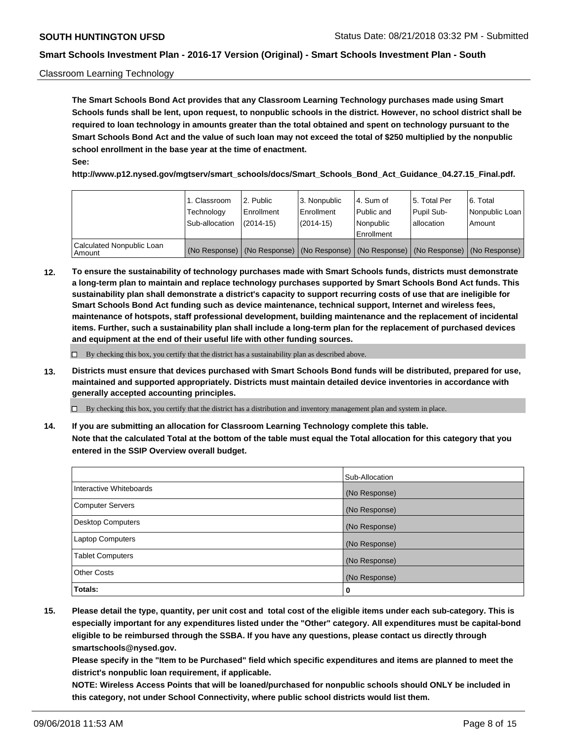### Classroom Learning Technology

**The Smart Schools Bond Act provides that any Classroom Learning Technology purchases made using Smart Schools funds shall be lent, upon request, to nonpublic schools in the district. However, no school district shall be required to loan technology in amounts greater than the total obtained and spent on technology pursuant to the Smart Schools Bond Act and the value of such loan may not exceed the total of \$250 multiplied by the nonpublic school enrollment in the base year at the time of enactment. See:**

**http://www.p12.nysed.gov/mgtserv/smart\_schools/docs/Smart\_Schools\_Bond\_Act\_Guidance\_04.27.15\_Final.pdf.**

|                                       | 1. Classroom<br>Technology<br>Sub-allocation | 2. Public<br>l Enrollment<br>$(2014 - 15)$ | l 3. Nonpublic<br>l Enrollment<br>$(2014 - 15)$ | l 4. Sum of<br>Public and<br>l Nonpublic<br>Enrollment                                        | 15. Total Per<br>Pupil Sub-<br>l allocation | l 6. Total<br>Nonpublic Loan<br>Amount |
|---------------------------------------|----------------------------------------------|--------------------------------------------|-------------------------------------------------|-----------------------------------------------------------------------------------------------|---------------------------------------------|----------------------------------------|
| Calculated Nonpublic Loan<br>l Amount |                                              |                                            |                                                 | (No Response)   (No Response)   (No Response)   (No Response)   (No Response)   (No Response) |                                             |                                        |

**12. To ensure the sustainability of technology purchases made with Smart Schools funds, districts must demonstrate a long-term plan to maintain and replace technology purchases supported by Smart Schools Bond Act funds. This sustainability plan shall demonstrate a district's capacity to support recurring costs of use that are ineligible for Smart Schools Bond Act funding such as device maintenance, technical support, Internet and wireless fees, maintenance of hotspots, staff professional development, building maintenance and the replacement of incidental items. Further, such a sustainability plan shall include a long-term plan for the replacement of purchased devices and equipment at the end of their useful life with other funding sources.**

 $\Box$  By checking this box, you certify that the district has a sustainability plan as described above.

**13. Districts must ensure that devices purchased with Smart Schools Bond funds will be distributed, prepared for use, maintained and supported appropriately. Districts must maintain detailed device inventories in accordance with generally accepted accounting principles.**

By checking this box, you certify that the district has a distribution and inventory management plan and system in place.

**14. If you are submitting an allocation for Classroom Learning Technology complete this table. Note that the calculated Total at the bottom of the table must equal the Total allocation for this category that you entered in the SSIP Overview overall budget.**

|                          | Sub-Allocation |
|--------------------------|----------------|
| Interactive Whiteboards  | (No Response)  |
| <b>Computer Servers</b>  | (No Response)  |
| <b>Desktop Computers</b> | (No Response)  |
| <b>Laptop Computers</b>  | (No Response)  |
| <b>Tablet Computers</b>  | (No Response)  |
| <b>Other Costs</b>       | (No Response)  |
| Totals:                  | 0              |

**15. Please detail the type, quantity, per unit cost and total cost of the eligible items under each sub-category. This is especially important for any expenditures listed under the "Other" category. All expenditures must be capital-bond eligible to be reimbursed through the SSBA. If you have any questions, please contact us directly through smartschools@nysed.gov.**

**Please specify in the "Item to be Purchased" field which specific expenditures and items are planned to meet the district's nonpublic loan requirement, if applicable.**

**NOTE: Wireless Access Points that will be loaned/purchased for nonpublic schools should ONLY be included in this category, not under School Connectivity, where public school districts would list them.**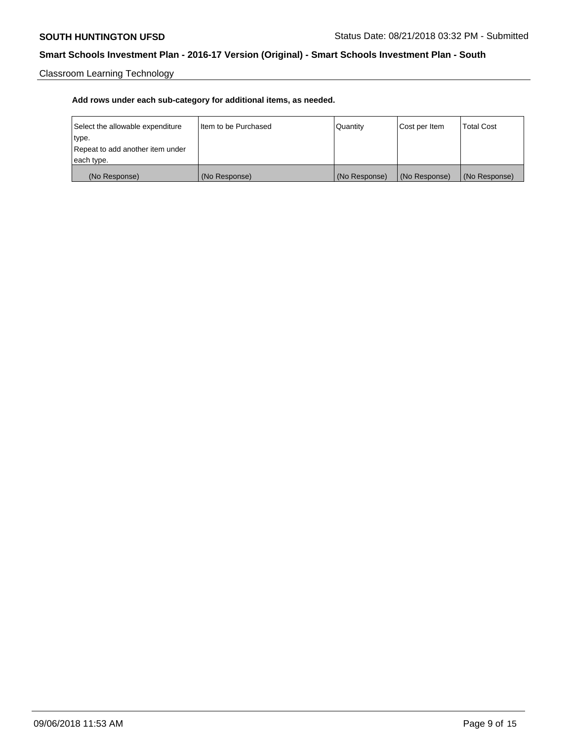Classroom Learning Technology

| Select the allowable expenditure | Iltem to be Purchased | Quantity      | Cost per Item | <b>Total Cost</b> |
|----------------------------------|-----------------------|---------------|---------------|-------------------|
| type.                            |                       |               |               |                   |
| Repeat to add another item under |                       |               |               |                   |
| each type.                       |                       |               |               |                   |
| (No Response)                    | (No Response)         | (No Response) | (No Response) | (No Response)     |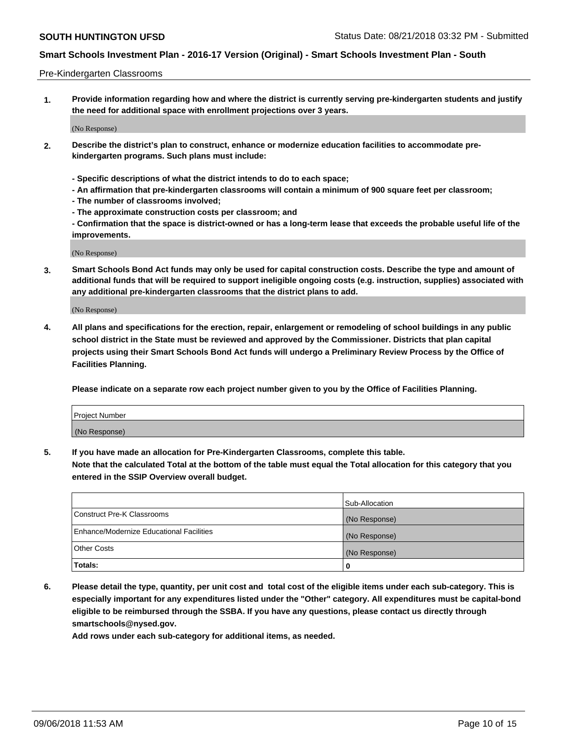### Pre-Kindergarten Classrooms

**1. Provide information regarding how and where the district is currently serving pre-kindergarten students and justify the need for additional space with enrollment projections over 3 years.**

(No Response)

- **2. Describe the district's plan to construct, enhance or modernize education facilities to accommodate prekindergarten programs. Such plans must include:**
	- **Specific descriptions of what the district intends to do to each space;**
	- **An affirmation that pre-kindergarten classrooms will contain a minimum of 900 square feet per classroom;**
	- **The number of classrooms involved;**
	- **The approximate construction costs per classroom; and**
	- **Confirmation that the space is district-owned or has a long-term lease that exceeds the probable useful life of the improvements.**

(No Response)

**3. Smart Schools Bond Act funds may only be used for capital construction costs. Describe the type and amount of additional funds that will be required to support ineligible ongoing costs (e.g. instruction, supplies) associated with any additional pre-kindergarten classrooms that the district plans to add.**

(No Response)

**4. All plans and specifications for the erection, repair, enlargement or remodeling of school buildings in any public school district in the State must be reviewed and approved by the Commissioner. Districts that plan capital projects using their Smart Schools Bond Act funds will undergo a Preliminary Review Process by the Office of Facilities Planning.**

**Please indicate on a separate row each project number given to you by the Office of Facilities Planning.**

| Project Number |  |
|----------------|--|
| (No Response)  |  |
|                |  |

**5. If you have made an allocation for Pre-Kindergarten Classrooms, complete this table.**

**Note that the calculated Total at the bottom of the table must equal the Total allocation for this category that you entered in the SSIP Overview overall budget.**

|                                          | Sub-Allocation |
|------------------------------------------|----------------|
| Construct Pre-K Classrooms               | (No Response)  |
| Enhance/Modernize Educational Facilities | (No Response)  |
| <b>Other Costs</b>                       | (No Response)  |
| Totals:                                  | 0              |

**6. Please detail the type, quantity, per unit cost and total cost of the eligible items under each sub-category. This is especially important for any expenditures listed under the "Other" category. All expenditures must be capital-bond eligible to be reimbursed through the SSBA. If you have any questions, please contact us directly through smartschools@nysed.gov.**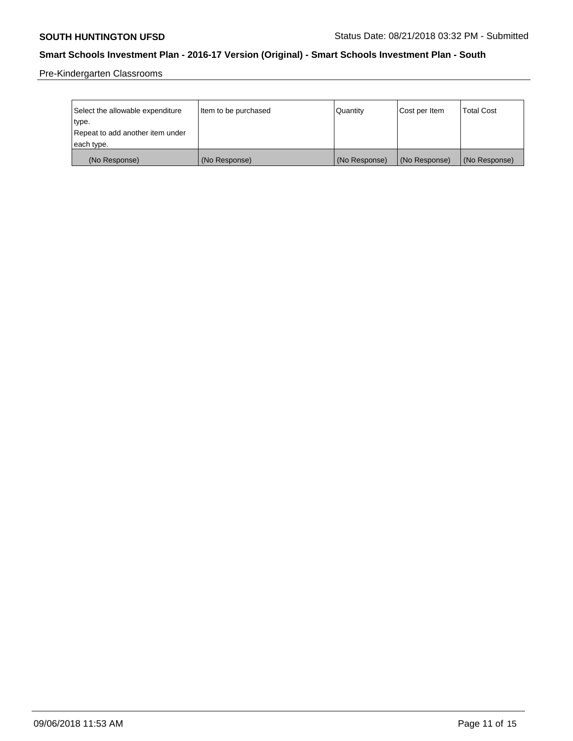Pre-Kindergarten Classrooms

| Select the allowable expenditure | Item to be purchased | Quantity      | Cost per Item | <b>Total Cost</b> |
|----------------------------------|----------------------|---------------|---------------|-------------------|
| type.                            |                      |               |               |                   |
| Repeat to add another item under |                      |               |               |                   |
| each type.                       |                      |               |               |                   |
| (No Response)                    | (No Response)        | (No Response) | (No Response) | (No Response)     |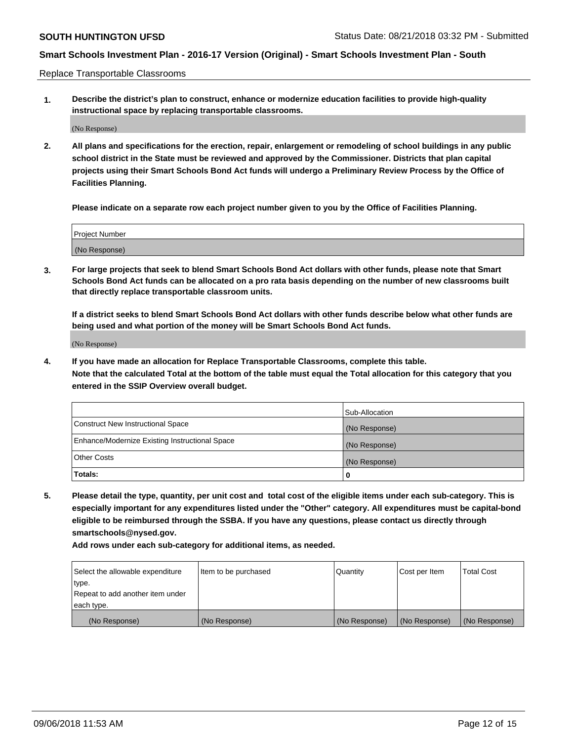Replace Transportable Classrooms

**1. Describe the district's plan to construct, enhance or modernize education facilities to provide high-quality instructional space by replacing transportable classrooms.**

(No Response)

**2. All plans and specifications for the erection, repair, enlargement or remodeling of school buildings in any public school district in the State must be reviewed and approved by the Commissioner. Districts that plan capital projects using their Smart Schools Bond Act funds will undergo a Preliminary Review Process by the Office of Facilities Planning.**

**Please indicate on a separate row each project number given to you by the Office of Facilities Planning.**

| Project Number |  |
|----------------|--|
|                |  |
|                |  |
|                |  |
|                |  |
| (No Response)  |  |
|                |  |
|                |  |
|                |  |

**3. For large projects that seek to blend Smart Schools Bond Act dollars with other funds, please note that Smart Schools Bond Act funds can be allocated on a pro rata basis depending on the number of new classrooms built that directly replace transportable classroom units.**

**If a district seeks to blend Smart Schools Bond Act dollars with other funds describe below what other funds are being used and what portion of the money will be Smart Schools Bond Act funds.**

(No Response)

**4. If you have made an allocation for Replace Transportable Classrooms, complete this table. Note that the calculated Total at the bottom of the table must equal the Total allocation for this category that you entered in the SSIP Overview overall budget.**

|                                                | Sub-Allocation |
|------------------------------------------------|----------------|
| Construct New Instructional Space              | (No Response)  |
| Enhance/Modernize Existing Instructional Space | (No Response)  |
| <b>Other Costs</b>                             | (No Response)  |
| Totals:                                        | 0              |

**5. Please detail the type, quantity, per unit cost and total cost of the eligible items under each sub-category. This is especially important for any expenditures listed under the "Other" category. All expenditures must be capital-bond eligible to be reimbursed through the SSBA. If you have any questions, please contact us directly through smartschools@nysed.gov.**

| Select the allowable expenditure | Item to be purchased | Quantity      | Cost per Item | Total Cost    |
|----------------------------------|----------------------|---------------|---------------|---------------|
| type.                            |                      |               |               |               |
| Repeat to add another item under |                      |               |               |               |
| each type.                       |                      |               |               |               |
| (No Response)                    | (No Response)        | (No Response) | (No Response) | (No Response) |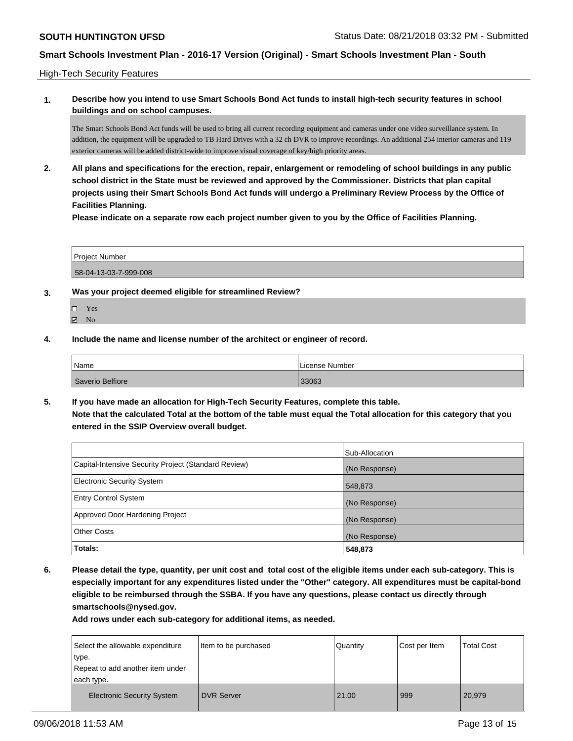High-Tech Security Features

**1. Describe how you intend to use Smart Schools Bond Act funds to install high-tech security features in school buildings and on school campuses.**

The Smart Schools Bond Act funds will be used to bring all current recording equipment and cameras under one video surveillance system. In addition, the equipment will be upgraded to TB Hard Drives with a 32 ch DVR to improve recordings. An additional 254 interior cameras and 119 exterior cameras will be added district-wide to improve visual coverage of key/high priority areas.

**2. All plans and specifications for the erection, repair, enlargement or remodeling of school buildings in any public school district in the State must be reviewed and approved by the Commissioner. Districts that plan capital projects using their Smart Schools Bond Act funds will undergo a Preliminary Review Process by the Office of Facilities Planning.** 

**Please indicate on a separate row each project number given to you by the Office of Facilities Planning.**

Project Number 58-04-13-03-7-999-008

- **3. Was your project deemed eligible for streamlined Review?**
	- Yes
	- $\boxtimes$  No
- **4. Include the name and license number of the architect or engineer of record.**

| <sup>1</sup> Name | License Number |
|-------------------|----------------|
| Saverio Belfiore  | 33063          |

**5. If you have made an allocation for High-Tech Security Features, complete this table. Note that the calculated Total at the bottom of the table must equal the Total allocation for this category that you entered in the SSIP Overview overall budget.**

|                                                      | Sub-Allocation |
|------------------------------------------------------|----------------|
| Capital-Intensive Security Project (Standard Review) | (No Response)  |
| <b>Electronic Security System</b>                    | 548,873        |
| <b>Entry Control System</b>                          | (No Response)  |
| Approved Door Hardening Project                      | (No Response)  |
| <b>Other Costs</b>                                   | (No Response)  |
| Totals:                                              | 548,873        |

**6. Please detail the type, quantity, per unit cost and total cost of the eligible items under each sub-category. This is especially important for any expenditures listed under the "Other" category. All expenditures must be capital-bond eligible to be reimbursed through the SSBA. If you have any questions, please contact us directly through smartschools@nysed.gov.**

| Select the allowable expenditure<br>type.<br>Repeat to add another item under<br>each type. | Item to be purchased | Quantity | Cost per Item | <b>Total Cost</b> |
|---------------------------------------------------------------------------------------------|----------------------|----------|---------------|-------------------|
| <b>Electronic Security System</b>                                                           | <b>DVR Server</b>    | 21.00    | 999           | 20,979            |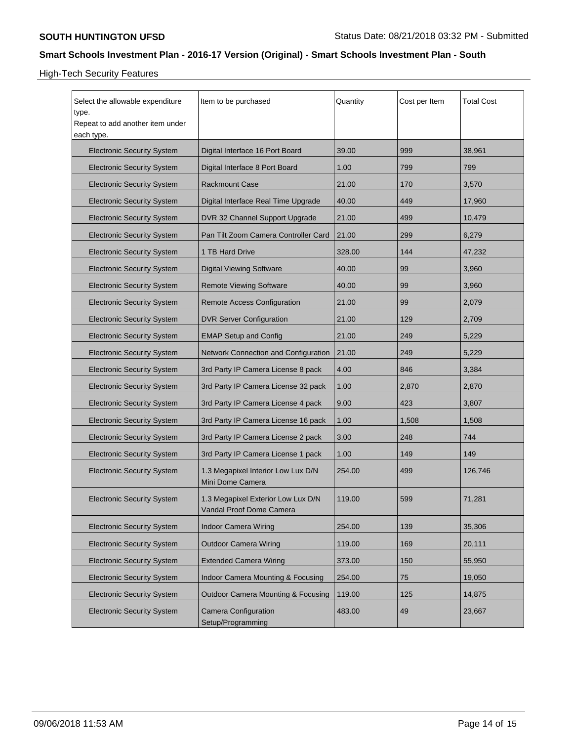High-Tech Security Features

| Select the allowable expenditure<br>type.<br>Repeat to add another item under<br>each type. | Item to be purchased                                           | Quantity | Cost per Item | <b>Total Cost</b> |
|---------------------------------------------------------------------------------------------|----------------------------------------------------------------|----------|---------------|-------------------|
| <b>Electronic Security System</b>                                                           | Digital Interface 16 Port Board                                | 39.00    | 999           | 38,961            |
| <b>Electronic Security System</b>                                                           | Digital Interface 8 Port Board                                 | 1.00     | 799           | 799               |
| <b>Electronic Security System</b>                                                           | <b>Rackmount Case</b>                                          | 21.00    | 170           | 3,570             |
| <b>Electronic Security System</b>                                                           | Digital Interface Real Time Upgrade                            | 40.00    | 449           | 17,960            |
| <b>Electronic Security System</b>                                                           | DVR 32 Channel Support Upgrade                                 | 21.00    | 499           | 10,479            |
| <b>Electronic Security System</b>                                                           | Pan Tilt Zoom Camera Controller Card                           | 21.00    | 299           | 6,279             |
| <b>Electronic Security System</b>                                                           | 1 TB Hard Drive                                                | 328.00   | 144           | 47,232            |
| <b>Electronic Security System</b>                                                           | <b>Digital Viewing Software</b>                                | 40.00    | 99            | 3,960             |
| <b>Electronic Security System</b>                                                           | <b>Remote Viewing Software</b>                                 | 40.00    | 99            | 3,960             |
| <b>Electronic Security System</b>                                                           | Remote Access Configuration                                    | 21.00    | 99            | 2,079             |
| <b>Electronic Security System</b>                                                           | DVR Server Configuration                                       | 21.00    | 129           | 2,709             |
| <b>Electronic Security System</b>                                                           | <b>EMAP Setup and Config</b>                                   | 21.00    | 249           | 5,229             |
| <b>Electronic Security System</b>                                                           | Network Connection and Configuration                           | 21.00    | 249           | 5,229             |
| <b>Electronic Security System</b>                                                           | 3rd Party IP Camera License 8 pack                             | 4.00     | 846           | 3,384             |
| <b>Electronic Security System</b>                                                           | 3rd Party IP Camera License 32 pack                            | 1.00     | 2,870         | 2,870             |
| <b>Electronic Security System</b>                                                           | 3rd Party IP Camera License 4 pack                             | 9.00     | 423           | 3,807             |
| <b>Electronic Security System</b>                                                           | 3rd Party IP Camera License 16 pack                            | 1.00     | 1,508         | 1,508             |
| <b>Electronic Security System</b>                                                           | 3rd Party IP Camera License 2 pack                             | 3.00     | 248           | 744               |
| <b>Electronic Security System</b>                                                           | 3rd Party IP Camera License 1 pack                             | 1.00     | 149           | 149               |
| <b>Electronic Security System</b>                                                           | 1.3 Megapixel Interior Low Lux D/N<br>Mini Dome Camera         | 254.00   | 499           | 126,746           |
| <b>Electronic Security System</b>                                                           | 1.3 Megapixel Exterior Low Lux D/N<br>Vandal Proof Dome Camera | 119.00   | 599           | 71,281            |
| <b>Electronic Security System</b>                                                           | <b>Indoor Camera Wiring</b>                                    | 254.00   | 139           | 35,306            |
| <b>Electronic Security System</b>                                                           | <b>Outdoor Camera Wiring</b>                                   | 119.00   | 169           | 20,111            |
| <b>Electronic Security System</b>                                                           | <b>Extended Camera Wiring</b>                                  | 373.00   | 150           | 55,950            |
| <b>Electronic Security System</b>                                                           | Indoor Camera Mounting & Focusing                              | 254.00   | 75            | 19,050            |
| <b>Electronic Security System</b>                                                           | Outdoor Camera Mounting & Focusing                             | 119.00   | 125           | 14,875            |
| <b>Electronic Security System</b>                                                           | <b>Camera Configuration</b><br>Setup/Programming               | 483.00   | 49            | 23,667            |